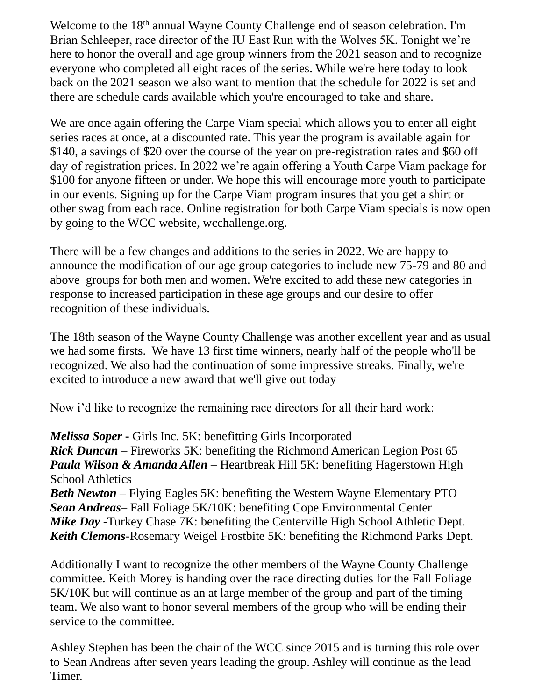Welcome to the 18<sup>th</sup> annual Wayne County Challenge end of season celebration. I'm Brian Schleeper, race director of the IU East Run with the Wolves 5K. Tonight we're here to honor the overall and age group winners from the 2021 season and to recognize everyone who completed all eight races of the series. While we're here today to look back on the 2021 season we also want to mention that the schedule for 2022 is set and there are schedule cards available which you're encouraged to take and share.

We are once again offering the Carpe Viam special which allows you to enter all eight series races at once, at a discounted rate. This year the program is available again for \$140, a savings of \$20 over the course of the year on pre-registration rates and \$60 off day of registration prices. In 2022 we're again offering a Youth Carpe Viam package for \$100 for anyone fifteen or under. We hope this will encourage more youth to participate in our events. Signing up for the Carpe Viam program insures that you get a shirt or other swag from each race. Online registration for both Carpe Viam specials is now open by going to the WCC website, wcchallenge.org.

There will be a few changes and additions to the series in 2022. We are happy to announce the modification of our age group categories to include new 75-79 and 80 and above groups for both men and women. We're excited to add these new categories in response to increased participation in these age groups and our desire to offer recognition of these individuals.

The 18th season of the Wayne County Challenge was another excellent year and as usual we had some firsts. We have 13 first time winners, nearly half of the people who'll be recognized. We also had the continuation of some impressive streaks. Finally, we're excited to introduce a new award that we'll give out today

Now i'd like to recognize the remaining race directors for all their hard work:

*Melissa Soper* **-** Girls Inc. 5K: benefitting Girls Incorporated *Rick Duncan* – Fireworks 5K: benefiting the Richmond American Legion Post 65 *Paula Wilson & Amanda Allen* – Heartbreak Hill 5K: benefiting Hagerstown High School Athletics

*Beth Newton* – Flying Eagles 5K: benefiting the Western Wayne Elementary PTO *Sean Andreas*– Fall Foliage 5K/10K: benefiting Cope Environmental Center *Mike Day* -Turkey Chase 7K: benefiting the Centerville High School Athletic Dept. *Keith Clemons*-Rosemary Weigel Frostbite 5K: benefiting the Richmond Parks Dept.

Additionally I want to recognize the other members of the Wayne County Challenge committee. Keith Morey is handing over the race directing duties for the Fall Foliage 5K/10K but will continue as an at large member of the group and part of the timing team. We also want to honor several members of the group who will be ending their service to the committee.

Ashley Stephen has been the chair of the WCC since 2015 and is turning this role over to Sean Andreas after seven years leading the group. Ashley will continue as the lead Timer.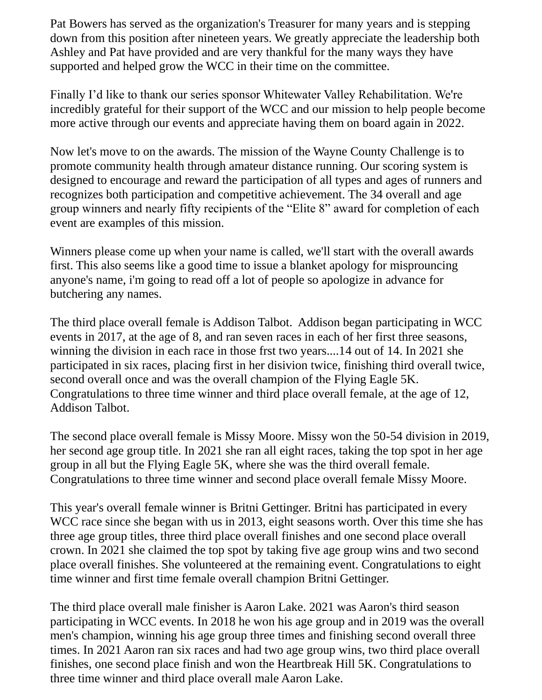Pat Bowers has served as the organization's Treasurer for many years and is stepping down from this position after nineteen years. We greatly appreciate the leadership both Ashley and Pat have provided and are very thankful for the many ways they have supported and helped grow the WCC in their time on the committee.

Finally I'd like to thank our series sponsor Whitewater Valley Rehabilitation. We're incredibly grateful for their support of the WCC and our mission to help people become more active through our events and appreciate having them on board again in 2022.

Now let's move to on the awards. The mission of the Wayne County Challenge is to promote community health through amateur distance running. Our scoring system is designed to encourage and reward the participation of all types and ages of runners and recognizes both participation and competitive achievement. The 34 overall and age group winners and nearly fifty recipients of the "Elite 8" award for completion of each event are examples of this mission.

Winners please come up when your name is called, we'll start with the overall awards first. This also seems like a good time to issue a blanket apology for misprouncing anyone's name, i'm going to read off a lot of people so apologize in advance for butchering any names.

The third place overall female is Addison Talbot. Addison began participating in WCC events in 2017, at the age of 8, and ran seven races in each of her first three seasons, winning the division in each race in those frst two years....14 out of 14. In 2021 she participated in six races, placing first in her disivion twice, finishing third overall twice, second overall once and was the overall champion of the Flying Eagle 5K. Congratulations to three time winner and third place overall female, at the age of 12, Addison Talbot.

The second place overall female is Missy Moore. Missy won the 50-54 division in 2019, her second age group title. In 2021 she ran all eight races, taking the top spot in her age group in all but the Flying Eagle 5K, where she was the third overall female. Congratulations to three time winner and second place overall female Missy Moore.

This year's overall female winner is Britni Gettinger. Britni has participated in every WCC race since she began with us in 2013, eight seasons worth. Over this time she has three age group titles, three third place overall finishes and one second place overall crown. In 2021 she claimed the top spot by taking five age group wins and two second place overall finishes. She volunteered at the remaining event. Congratulations to eight time winner and first time female overall champion Britni Gettinger.

The third place overall male finisher is Aaron Lake. 2021 was Aaron's third season participating in WCC events. In 2018 he won his age group and in 2019 was the overall men's champion, winning his age group three times and finishing second overall three times. In 2021 Aaron ran six races and had two age group wins, two third place overall finishes, one second place finish and won the Heartbreak Hill 5K. Congratulations to three time winner and third place overall male Aaron Lake.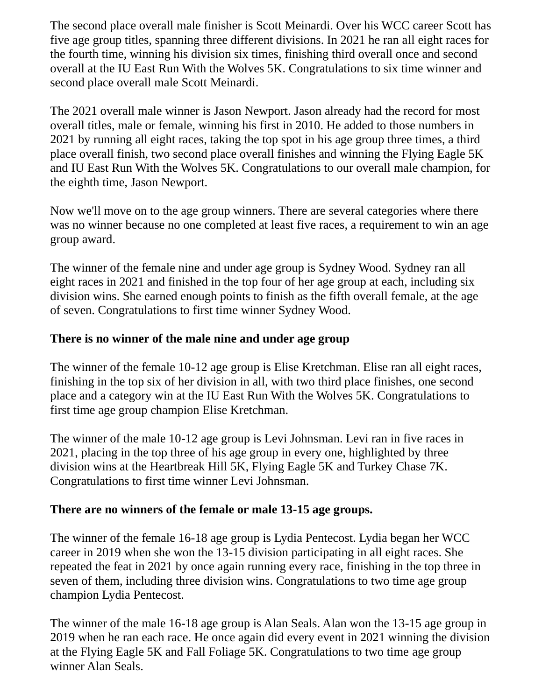The second place overall male finisher is Scott Meinardi. Over his WCC career Scott has five age group titles, spanning three different divisions. In 2021 he ran all eight races for the fourth time, winning his division six times, finishing third overall once and second overall at the IU East Run With the Wolves 5K. Congratulations to six time winner and second place overall male Scott Meinardi.

The 2021 overall male winner is Jason Newport. Jason already had the record for most overall titles, male or female, winning his first in 2010. He added to those numbers in 2021 by running all eight races, taking the top spot in his age group three times, a third place overall finish, two second place overall finishes and winning the Flying Eagle 5K and IU East Run With the Wolves 5K. Congratulations to our overall male champion, for the eighth time, Jason Newport.

Now we'll move on to the age group winners. There are several categories where there was no winner because no one completed at least five races, a requirement to win an age group award.

The winner of the female nine and under age group is Sydney Wood. Sydney ran all eight races in 2021 and finished in the top four of her age group at each, including six division wins. She earned enough points to finish as the fifth overall female, at the age of seven. Congratulations to first time winner Sydney Wood.

## **There is no winner of the male nine and under age group**

The winner of the female 10-12 age group is Elise Kretchman. Elise ran all eight races, finishing in the top six of her division in all, with two third place finishes, one second place and a category win at the IU East Run With the Wolves 5K. Congratulations to first time age group champion Elise Kretchman.

The winner of the male 10-12 age group is Levi Johnsman. Levi ran in five races in 2021, placing in the top three of his age group in every one, highlighted by three division wins at the Heartbreak Hill 5K, Flying Eagle 5K and Turkey Chase 7K. Congratulations to first time winner Levi Johnsman.

## **There are no winners of the female or male 13-15 age groups.**

The winner of the female 16-18 age group is Lydia Pentecost. Lydia began her WCC career in 2019 when she won the 13-15 division participating in all eight races. She repeated the feat in 2021 by once again running every race, finishing in the top three in seven of them, including three division wins. Congratulations to two time age group champion Lydia Pentecost.

The winner of the male 16-18 age group is Alan Seals. Alan won the 13-15 age group in 2019 when he ran each race. He once again did every event in 2021 winning the division at the Flying Eagle 5K and Fall Foliage 5K. Congratulations to two time age group winner Alan Seals.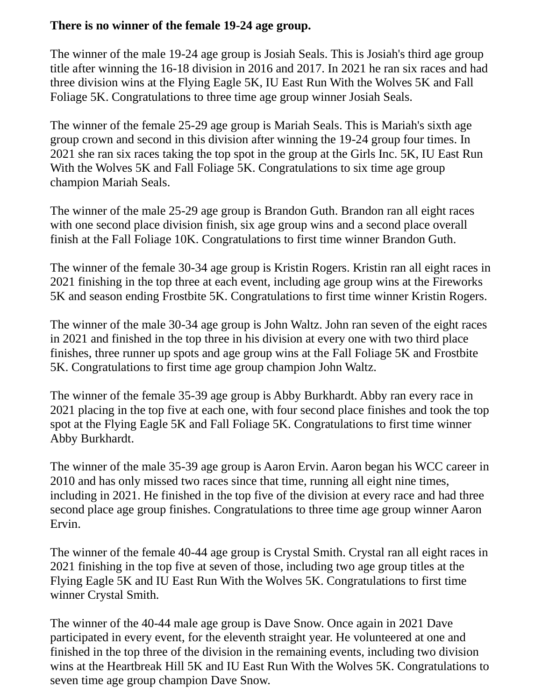## **There is no winner of the female 19-24 age group.**

The winner of the male 19-24 age group is Josiah Seals. This is Josiah's third age group title after winning the 16-18 division in 2016 and 2017. In 2021 he ran six races and had three division wins at the Flying Eagle 5K, IU East Run With the Wolves 5K and Fall Foliage 5K. Congratulations to three time age group winner Josiah Seals.

The winner of the female 25-29 age group is Mariah Seals. This is Mariah's sixth age group crown and second in this division after winning the 19-24 group four times. In 2021 she ran six races taking the top spot in the group at the Girls Inc. 5K, IU East Run With the Wolves 5K and Fall Foliage 5K. Congratulations to six time age group champion Mariah Seals.

The winner of the male 25-29 age group is Brandon Guth. Brandon ran all eight races with one second place division finish, six age group wins and a second place overall finish at the Fall Foliage 10K. Congratulations to first time winner Brandon Guth.

The winner of the female 30-34 age group is Kristin Rogers. Kristin ran all eight races in 2021 finishing in the top three at each event, including age group wins at the Fireworks 5K and season ending Frostbite 5K. Congratulations to first time winner Kristin Rogers.

The winner of the male 30-34 age group is John Waltz. John ran seven of the eight races in 2021 and finished in the top three in his division at every one with two third place finishes, three runner up spots and age group wins at the Fall Foliage 5K and Frostbite 5K. Congratulations to first time age group champion John Waltz.

The winner of the female 35-39 age group is Abby Burkhardt. Abby ran every race in 2021 placing in the top five at each one, with four second place finishes and took the top spot at the Flying Eagle 5K and Fall Foliage 5K. Congratulations to first time winner Abby Burkhardt.

The winner of the male 35-39 age group is Aaron Ervin. Aaron began his WCC career in 2010 and has only missed two races since that time, running all eight nine times, including in 2021. He finished in the top five of the division at every race and had three second place age group finishes. Congratulations to three time age group winner Aaron Ervin.

The winner of the female 40-44 age group is Crystal Smith. Crystal ran all eight races in 2021 finishing in the top five at seven of those, including two age group titles at the Flying Eagle 5K and IU East Run With the Wolves 5K. Congratulations to first time winner Crystal Smith.

The winner of the 40-44 male age group is Dave Snow. Once again in 2021 Dave participated in every event, for the eleventh straight year. He volunteered at one and finished in the top three of the division in the remaining events, including two division wins at the Heartbreak Hill 5K and IU East Run With the Wolves 5K. Congratulations to seven time age group champion Dave Snow.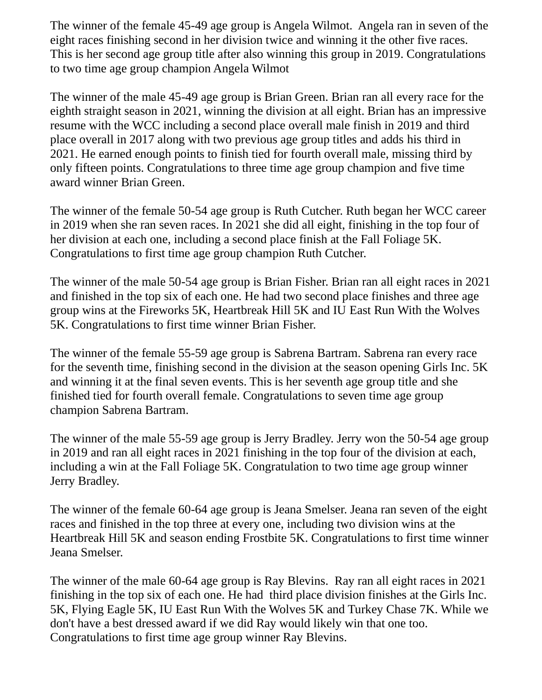The winner of the female 45-49 age group is Angela Wilmot. Angela ran in seven of the eight races finishing second in her division twice and winning it the other five races. This is her second age group title after also winning this group in 2019. Congratulations to two time age group champion Angela Wilmot

The winner of the male 45-49 age group is Brian Green. Brian ran all every race for the eighth straight season in 2021, winning the division at all eight. Brian has an impressive resume with the WCC including a second place overall male finish in 2019 and third place overall in 2017 along with two previous age group titles and adds his third in 2021. He earned enough points to finish tied for fourth overall male, missing third by only fifteen points. Congratulations to three time age group champion and five time award winner Brian Green.

The winner of the female 50-54 age group is Ruth Cutcher. Ruth began her WCC career in 2019 when she ran seven races. In 2021 she did all eight, finishing in the top four of her division at each one, including a second place finish at the Fall Foliage 5K. Congratulations to first time age group champion Ruth Cutcher.

The winner of the male 50-54 age group is Brian Fisher. Brian ran all eight races in 2021 and finished in the top six of each one. He had two second place finishes and three age group wins at the Fireworks 5K, Heartbreak Hill 5K and IU East Run With the Wolves 5K. Congratulations to first time winner Brian Fisher.

The winner of the female 55-59 age group is Sabrena Bartram. Sabrena ran every race for the seventh time, finishing second in the division at the season opening Girls Inc. 5K and winning it at the final seven events. This is her seventh age group title and she finished tied for fourth overall female. Congratulations to seven time age group champion Sabrena Bartram.

The winner of the male 55-59 age group is Jerry Bradley. Jerry won the 50-54 age group in 2019 and ran all eight races in 2021 finishing in the top four of the division at each, including a win at the Fall Foliage 5K. Congratulation to two time age group winner Jerry Bradley.

The winner of the female 60-64 age group is Jeana Smelser. Jeana ran seven of the eight races and finished in the top three at every one, including two division wins at the Heartbreak Hill 5K and season ending Frostbite 5K. Congratulations to first time winner Jeana Smelser.

The winner of the male 60-64 age group is Ray Blevins. Ray ran all eight races in 2021 finishing in the top six of each one. He had third place division finishes at the Girls Inc. 5K, Flying Eagle 5K, IU East Run With the Wolves 5K and Turkey Chase 7K. While we don't have a best dressed award if we did Ray would likely win that one too. Congratulations to first time age group winner Ray Blevins.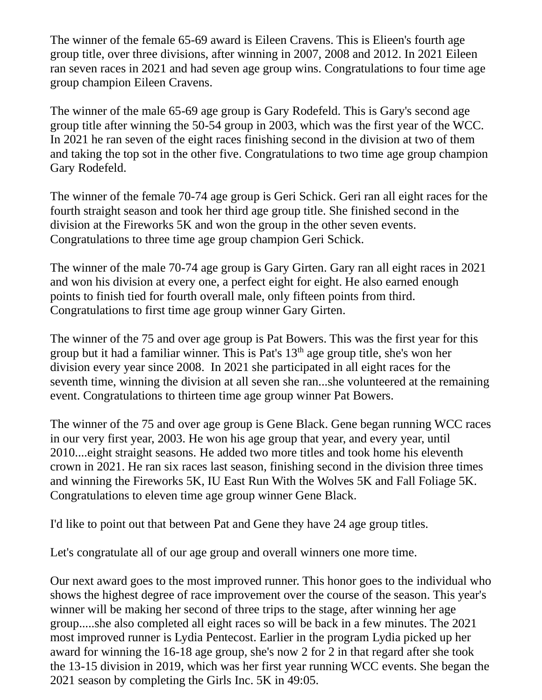The winner of the female 65-69 award is Eileen Cravens. This is Elieen's fourth age group title, over three divisions, after winning in 2007, 2008 and 2012. In 2021 Eileen ran seven races in 2021 and had seven age group wins. Congratulations to four time age group champion Eileen Cravens.

The winner of the male 65-69 age group is Gary Rodefeld. This is Gary's second age group title after winning the 50-54 group in 2003, which was the first year of the WCC. In 2021 he ran seven of the eight races finishing second in the division at two of them and taking the top sot in the other five. Congratulations to two time age group champion Gary Rodefeld.

The winner of the female 70-74 age group is Geri Schick. Geri ran all eight races for the fourth straight season and took her third age group title. She finished second in the division at the Fireworks 5K and won the group in the other seven events. Congratulations to three time age group champion Geri Schick.

The winner of the male 70-74 age group is Gary Girten. Gary ran all eight races in 2021 and won his division at every one, a perfect eight for eight. He also earned enough points to finish tied for fourth overall male, only fifteen points from third. Congratulations to first time age group winner Gary Girten.

The winner of the 75 and over age group is Pat Bowers. This was the first year for this group but it had a familiar winner. This is Pat's 13th age group title, she's won her division every year since 2008. In 2021 she participated in all eight races for the seventh time, winning the division at all seven she ran...she volunteered at the remaining event. Congratulations to thirteen time age group winner Pat Bowers.

The winner of the 75 and over age group is Gene Black. Gene began running WCC races in our very first year, 2003. He won his age group that year, and every year, until 2010....eight straight seasons. He added two more titles and took home his eleventh crown in 2021. He ran six races last season, finishing second in the division three times and winning the Fireworks 5K, IU East Run With the Wolves 5K and Fall Foliage 5K. Congratulations to eleven time age group winner Gene Black.

I'd like to point out that between Pat and Gene they have 24 age group titles.

Let's congratulate all of our age group and overall winners one more time.

Our next award goes to the most improved runner. This honor goes to the individual who shows the highest degree of race improvement over the course of the season. This year's winner will be making her second of three trips to the stage, after winning her age group.....she also completed all eight races so will be back in a few minutes. The 2021 most improved runner is Lydia Pentecost. Earlier in the program Lydia picked up her award for winning the 16-18 age group, she's now 2 for 2 in that regard after she took the 13-15 division in 2019, which was her first year running WCC events. She began the 2021 season by completing the Girls Inc. 5K in 49:05.